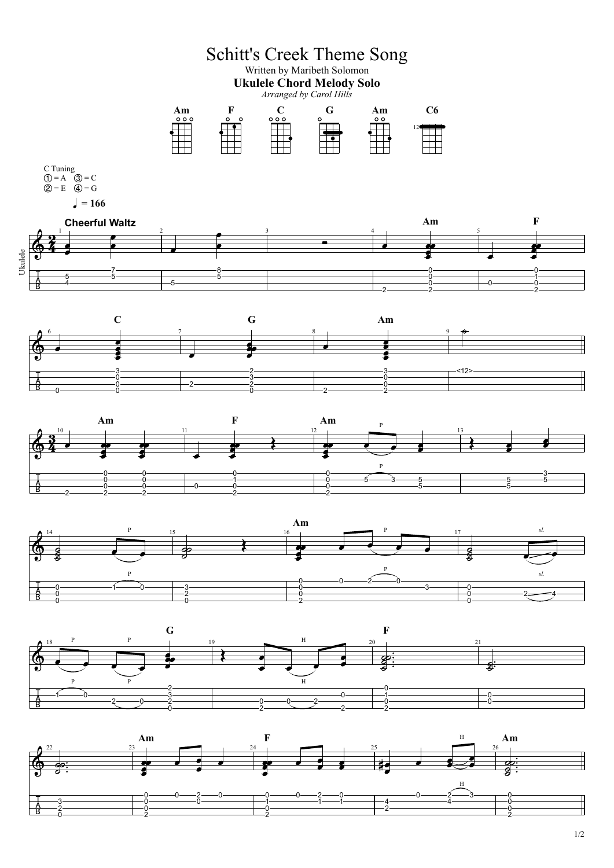Schitt's Creek Theme Song



1/2